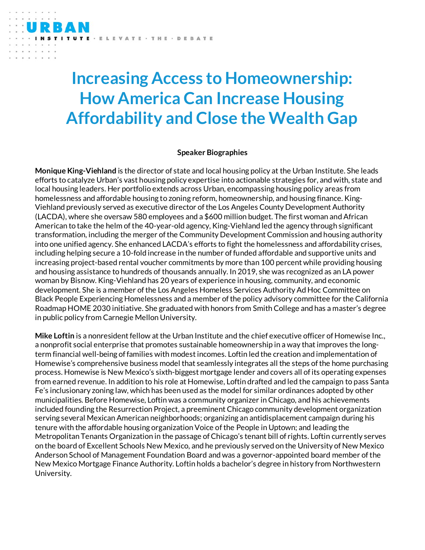## **Increasing Access to Homeownership: How America Can Increase Housing Affordability and Close the Wealth Gap**

## **Speaker Biographies**

**Monique King-Viehland** is the director of state and local housing policy at the Urban Institute. She leads efforts to catalyze Urban's vast housing policy expertise into actionable strategies for, and with, state and local housing leaders. Her portfolio extends across Urban, encompassing housing policy areas from homelessness and affordable housing to zoning reform, homeownership, and housing finance. King-Viehland previously served as executive director of the Los Angeles County Development Authority (LACDA), where she oversaw 580 employees and a \$600 million budget. The first woman and African American to take the helm of the 40-year-old agency, King-Viehland led the agency through significant transformation, including the merger of the Community Development Commission and housing authority into one unified agency. She enhanced LACDA's efforts to fight the homelessness and affordability crises, including helping secure a 10-fold increase in the number of funded affordable and supportive units and increasing project-based rental voucher commitments by more than 100 percent while providing housing and housing assistance to hundreds of thousands annually. In 2019, she was recognized as an LA power woman by Bisnow. King-Viehland has 20 years of experience in housing, community, and economic development. She is a member of the Los Angeles Homeless Services Authority Ad Hoc Committee on Black People Experiencing Homelessness and a member of the policy advisory committee for the California Roadmap HOME 2030 initiative. She graduated with honors from Smith College and has a master's degree in public policy from Carnegie Mellon University.

**Mike Loftin** is a nonresident fellow at the Urban Institute and the chief executive officer of Homewise Inc., a nonprofit social enterprise that promotes sustainable homeownership in a way that improves the longterm financial well-being of families with modestincomes. Loftin led the creation and implementation of Homewise's comprehensive business model that seamlessly integrates all the steps of the home purchasing process. Homewise is New Mexico's sixth-biggest mortgage lender and covers all of its operating expenses from earned revenue. In addition to his role at Homewise, Loftin drafted and led the campaign to pass Santa Fe's inclusionary zoning law, which has been used as the model for similar ordinances adopted by other municipalities. Before Homewise, Loftin was a community organizer in Chicago, and his achievements included founding the Resurrection Project, a preeminent Chicago community development organization serving several Mexican American neighborhoods; organizing an antidisplacement campaign during his tenure with the affordable housing organization Voice of the People in Uptown; and leading the Metropolitan Tenants Organization in the passage of Chicago's tenant bill of rights. Loftin currently serves on the board of Excellent Schools New Mexico, and he previously served on the University of New Mexico Anderson School of Management Foundation Board and was a governor-appointed board member of the New Mexico Mortgage Finance Authority. Loftin holds a bachelor's degree in history from Northwestern University.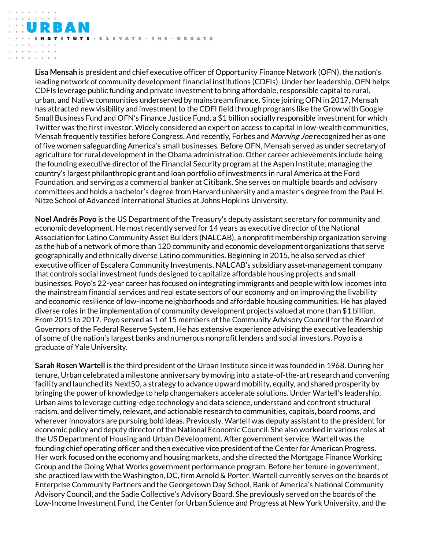· ELEVATE · THE · DEBATE

**Lisa Mensah** is president and chief executive officer of Opportunity Finance Network (OFN), the nation's leading network of community development financial institutions (CDFIs). Under her leadership, OFN helps CDFIs leverage public funding and private investment to bring affordable, responsible capital to rural, urban, and Native communities underserved by mainstream finance. Since joining OFN in 2017, Mensah has attracted new visibility and investment to the CDFI field through programs like the Grow with Google Small Business Fund and OFN's Finance Justice Fund, a \$1 billion socially responsible investment for which Twitter was the first investor. Widely considered an expert on access to capital in low-wealth communities, Mensah frequently testifies before Congress. And recently, Forbes and *Morning Joe* recognized her as one of five women safeguarding America's small businesses. Before OFN, Mensah served as under secretary of agriculture for rural development in the Obama administration. Other career achievements include being the founding executive director of the Financial Security program at the Aspen Institute, managing the country's largest philanthropic grant and loan portfolio of investments in rural America at the Ford Foundation, and serving as a commercial banker at Citibank. She serves on multiple boards and advisory committees and holds a bachelor's degree from Harvard university and a master's degree from the Paul H. Nitze School of Advanced International Studies at Johns Hopkins University.

**Noel Andrés Poyo** is the US Department of the Treasury's deputy assistant secretary for community and economic development. He most recently served for 14 years as executive director of the National Association for Latino Community Asset Builders (NALCAB), a nonprofit membership organization serving as the hub of a network of more than 120 community and economic development organizations that serve geographically and ethnically diverse Latino communities. Beginning in 2015, he also served as chief executive officer of Escalera Community Investments, NALCAB's subsidiary asset-management company that controls social investment funds designed to capitalize affordable housing projects and small businesses. Poyo's 22-year career has focused on integrating immigrants and people with low incomes into the mainstream financial services and real estate sectors of our economy and on improving the livability and economic resilience of low-income neighborhoods and affordable housing communities. He has played diverse roles in the implementation of community development projects valued at more than \$1 billion. From 2015 to 2017, Poyo served as 1 of 15 members of the Community Advisory Council for the Board of Governors of the Federal Reserve System. He has extensive experience advising the executive leadership of some of the nation's largest banks and numerous nonprofit lenders and social investors. Poyo is a graduate of Yale University.

**Sarah Rosen Wartell** is the third president of the Urban Institute since it was founded in 1968. During her tenure, Urban celebrated a milestone anniversary by moving into a state-of-the-art research and convening facility and launched its Next50, a strategy to advance upward mobility, equity, and shared prosperity by bringing the power of knowledge to help changemakers accelerate solutions. Under Wartell's leadership, Urban aims to leverage cutting-edge technology and data science, understand and confront structural racism, and deliver timely, relevant, and actionable research to communities, capitals, board rooms, and wherever innovators are pursuing bold ideas. Previously, Wartell was deputy assistant to the president for economic policy and deputy director of the National Economic Council. She also worked in various roles at the US Department of Housing and Urban Development. After government service, Wartell was the founding chief operating officer and then executive vice president of the Center for American Progress. Her work focused on the economy and housing markets, and she directed the Mortgage Finance Working Group and the Doing What Works government performance program. Before her tenure in government, she practiced law with the Washington, DC, firm Arnold & Porter. Wartell currently serves on the boards of Enterprise Community Partners and the Georgetown Day School, Bank of America's National Community Advisory Council, and the Sadie Collective's Advisory Board. She previously served on the boards of the Low-Income Investment Fund, the Center for Urban Science and Progress at New York University, and the